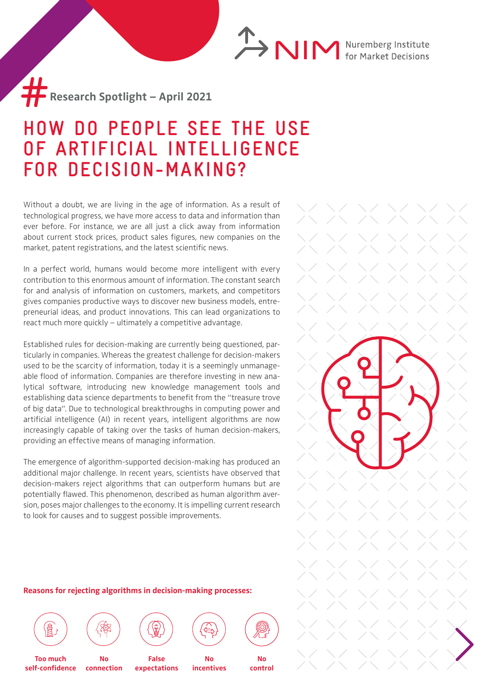**ANIM** Nuremberg Institute

**Research Spotlight – April 2021** #

## **HOW DO PEOPLE SEE THE USE OF ARTIFICIAL INTELLIGENCE FOR DECISION-MAKING?**

Without a doubt, we are living in the age of information. As a result of technological progress, we have more access to data and information than ever before. For instance, we are all just a click away from information about current stock prices, product sales figures, new companies on the market, patent registrations, and the latest scientific news.

In a perfect world, humans would become more intelligent with every contribution to this enormous amount of information. The constant search for and analysis of information on customers, markets, and competitors gives companies productive ways to discover new business models, entrepreneurial ideas, and product innovations. This can lead organizations to react much more quickly – ultimately a competitive advantage.

Established rules for decision-making are currently being questioned, particularly in companies. Whereas the greatest challenge for decision-makers used to be the scarcity of information, today it is a seemingly unmanageable flood of information. Companies are therefore investing in new analytical software, introducing new knowledge management tools and establishing data science departments to benefit from the "treasure trove of big data". Due to technological breakthroughs in computing power and artificial intelligence (AI) in recent years, intelligent algorithms are now increasingly capable of taking over the tasks of human decision-makers, providing an effective means of managing information.

The emergence of algorithm-supported decision-making has produced an additional major challenge. In recent years, scientists have observed that decision-makers reject algorithms that can outperform humans but are potentially flawed. This phenomenon, described as human algorithm aversion, poses major challenges to the economy. It is impelling current research to look for causes and to suggest possible improvements.

## **Reasons for rejecting algorithms in decision-making processes:**







**False expectations**





**Too much self-confidence**

**No connection**

**No incentives**

**No control**